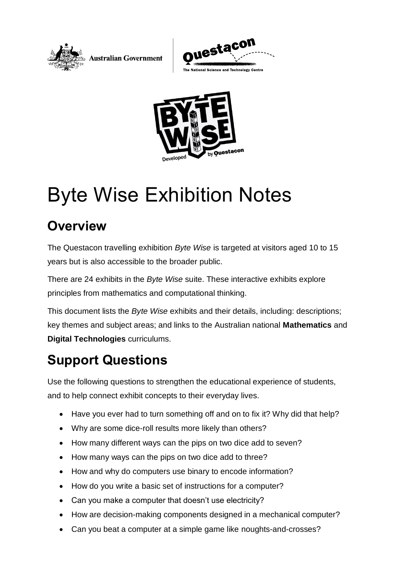





# Byte Wise Exhibition Notes

# **Overview**

The Questacon travelling exhibition *Byte Wise* is targeted at visitors aged 10 to 15 years but is also accessible to the broader public.

There are 24 exhibits in the *Byte Wise* suite. These interactive exhibits explore principles from mathematics and computational thinking.

This document lists the *Byte Wise* exhibits and their details, including: descriptions; key themes and subject areas; and links to the Australian national **Mathematics** and **Digital Technologies** curriculums.

# **Support Questions**

Use the following questions to strengthen the educational experience of students, and to help connect exhibit concepts to their everyday lives.

- Have you ever had to turn something off and on to fix it? Why did that help?
- Why are some dice-roll results more likely than others?
- How many different ways can the pips on two dice add to seven?
- How many ways can the pips on two dice add to three?
- How and why do computers use binary to encode information?
- How do you write a basic set of instructions for a computer?
- Can you make a computer that doesn't use electricity?
- How are decision-making components designed in a mechanical computer?
- Can you beat a computer at a simple game like noughts-and-crosses?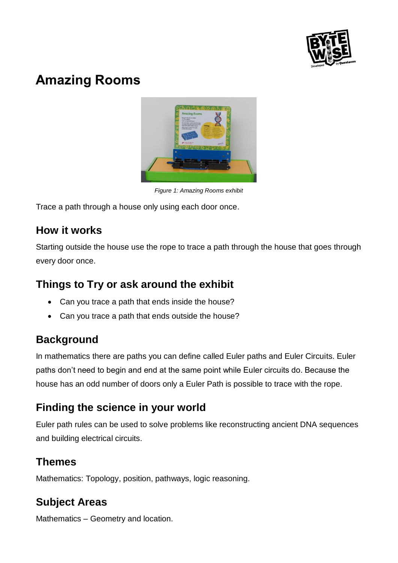

# **Amazing Rooms**



*Figure 1: Amazing Rooms exhibit*

Trace a path through a house only using each door once.

### **How it works**

Starting outside the house use the rope to trace a path through the house that goes through every door once.

# **Things to Try or ask around the exhibit**

- Can you trace a path that ends inside the house?
- Can you trace a path that ends outside the house?

# **Background**

In mathematics there are paths you can define called Euler paths and Euler Circuits. Euler paths don't need to begin and end at the same point while Euler circuits do. Because the house has an odd number of doors only a Euler Path is possible to trace with the rope.

### **Finding the science in your world**

Euler path rules can be used to solve problems like reconstructing ancient DNA sequences and building electrical circuits.

### **Themes**

Mathematics: Topology, position, pathways, logic reasoning.

# **Subject Areas**

Mathematics – Geometry and location.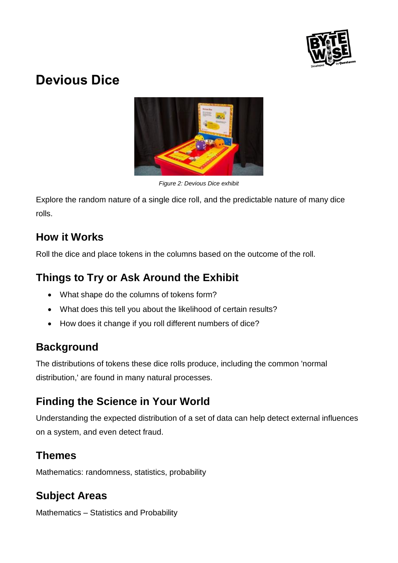

# **Devious Dice**



*Figure 2: Devious Dice exhibit*

Explore the random nature of a single dice roll, and the predictable nature of many dice rolls.

# **How it Works**

Roll the dice and place tokens in the columns based on the outcome of the roll.

# **Things to Try or Ask Around the Exhibit**

- What shape do the columns of tokens form?
- What does this tell you about the likelihood of certain results?
- How does it change if you roll different numbers of dice?

# **Background**

The distributions of tokens these dice rolls produce, including the common 'normal distribution,' are found in many natural processes.

# **Finding the Science in Your World**

Understanding the expected distribution of a set of data can help detect external influences on a system, and even detect fraud.

# **Themes**

Mathematics: randomness, statistics, probability

# **Subject Areas**

Mathematics – Statistics and Probability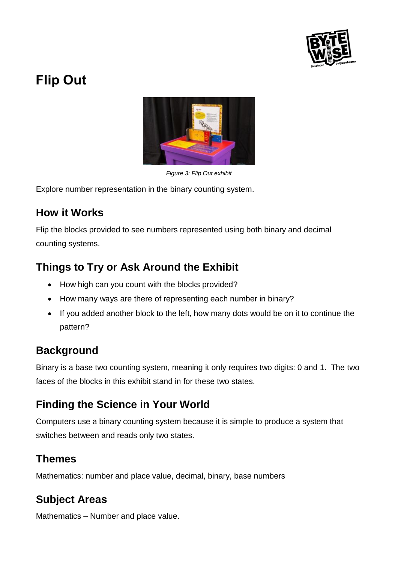

# **Flip Out**



*Figure 3: Flip Out exhibit*

Explore number representation in the binary counting system.

#### **How it Works**

Flip the blocks provided to see numbers represented using both binary and decimal counting systems.

# **Things to Try or Ask Around the Exhibit**

- How high can you count with the blocks provided?
- How many ways are there of representing each number in binary?
- If you added another block to the left, how many dots would be on it to continue the pattern?

# **Background**

Binary is a base two counting system, meaning it only requires two digits: 0 and 1. The two faces of the blocks in this exhibit stand in for these two states.

# **Finding the Science in Your World**

Computers use a binary counting system because it is simple to produce a system that switches between and reads only two states.

### **Themes**

Mathematics: number and place value, decimal, binary, base numbers

# **Subject Areas**

Mathematics – Number and place value.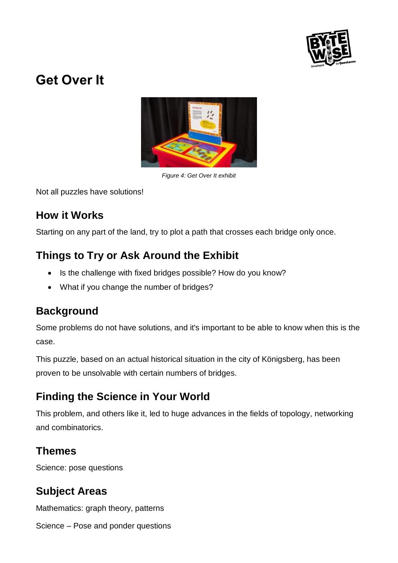

# **Get Over It**



*Figure 4: Get Over It exhibit*

Not all puzzles have solutions!

### **How it Works**

Starting on any part of the land, try to plot a path that crosses each bridge only once.

# **Things to Try or Ask Around the Exhibit**

- Is the challenge with fixed bridges possible? How do you know?
- What if you change the number of bridges?

# **Background**

Some problems do not have solutions, and it's important to be able to know when this is the case.

This puzzle, based on an actual historical situation in the city of Königsberg, has been proven to be unsolvable with certain numbers of bridges.

# **Finding the Science in Your World**

This problem, and others like it, led to huge advances in the fields of topology, networking and combinatorics.

### **Themes**

Science: pose questions

# **Subject Areas**

Mathematics: graph theory, patterns

Science – Pose and ponder questions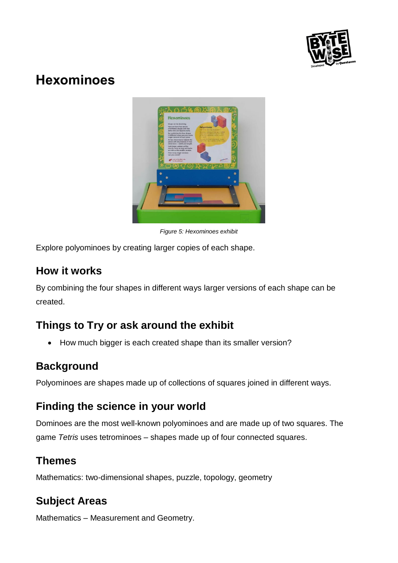

# **Hexominoes**



*Figure 5: Hexominoes exhibit*

Explore polyominoes by creating larger copies of each shape.

### **How it works**

By combining the four shapes in different ways larger versions of each shape can be created.

# **Things to Try or ask around the exhibit**

• How much bigger is each created shape than its smaller version?

# **Background**

Polyominoes are shapes made up of collections of squares joined in different ways.

# **Finding the science in your world**

Dominoes are the most well-known polyominoes and are made up of two squares. The game *Tetris* uses tetrominoes – shapes made up of four connected squares.

### **Themes**

Mathematics: two-dimensional shapes, puzzle, topology, geometry

# **Subject Areas**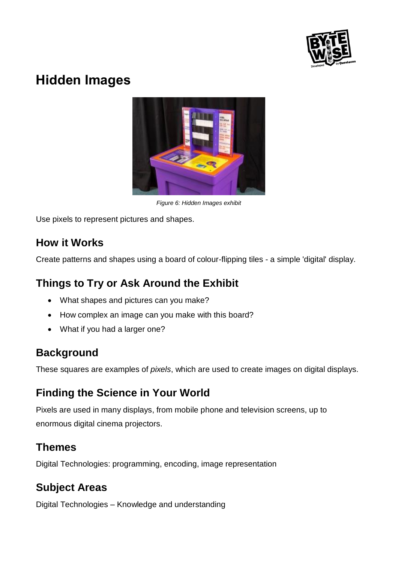

# **Hidden Images**



*Figure 6: Hidden Images exhibit*

Use pixels to represent pictures and shapes.

### **How it Works**

Create patterns and shapes using a board of colour-flipping tiles - a simple 'digital' display.

### **Things to Try or Ask Around the Exhibit**

- What shapes and pictures can you make?
- How complex an image can you make with this board?
- What if you had a larger one?

### **Background**

These squares are examples of *pixels*, which are used to create images on digital displays.

# **Finding the Science in Your World**

Pixels are used in many displays, from mobile phone and television screens, up to enormous digital cinema projectors.

#### **Themes**

Digital Technologies: programming, encoding, image representation

### **Subject Areas**

Digital Technologies – Knowledge and understanding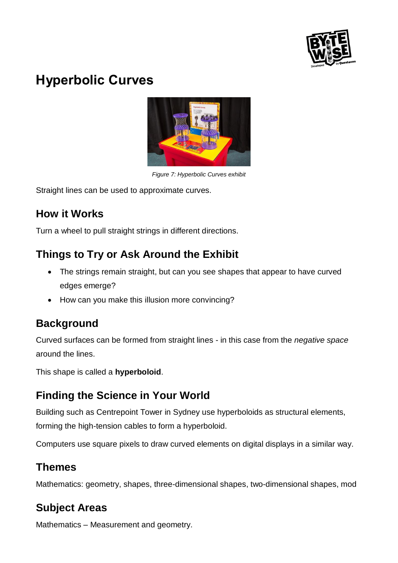

# **Hyperbolic Curves**



*Figure 7: Hyperbolic Curves exhibit*

Straight lines can be used to approximate curves.

### **How it Works**

Turn a wheel to pull straight strings in different directions.

# **Things to Try or Ask Around the Exhibit**

- The strings remain straight, but can you see shapes that appear to have curved edges emerge?
- How can you make this illusion more convincing?

# **Background**

Curved surfaces can be formed from straight lines - in this case from the *negative space* around the lines.

This shape is called a **hyperboloid**.

# **Finding the Science in Your World**

Building such as Centrepoint Tower in Sydney use hyperboloids as structural elements, forming the high-tension cables to form a hyperboloid.

Computers use square pixels to draw curved elements on digital displays in a similar way.

# **Themes**

Mathematics: geometry, shapes, three-dimensional shapes, two-dimensional shapes, mod

# **Subject Areas**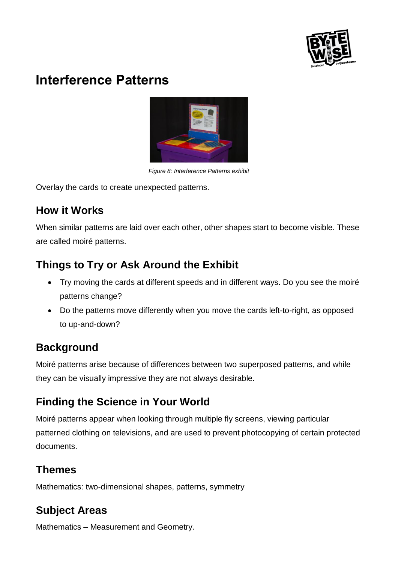

# **Interference Patterns**



*Figure 8: Interference Patterns exhibit*

Overlay the cards to create unexpected patterns.

# **How it Works**

When similar patterns are laid over each other, other shapes start to become visible. These are called moiré patterns.

# **Things to Try or Ask Around the Exhibit**

- Try moving the cards at different speeds and in different ways. Do you see the moiré patterns change?
- Do the patterns move differently when you move the cards left-to-right, as opposed to up-and-down?

# **Background**

Moiré patterns arise because of differences between two superposed patterns, and while they can be visually impressive they are not always desirable.

# **Finding the Science in Your World**

Moiré patterns appear when looking through multiple fly screens, viewing particular patterned clothing on televisions, and are used to prevent photocopying of certain protected documents.

# **Themes**

Mathematics: two-dimensional shapes, patterns, symmetry

# **Subject Areas**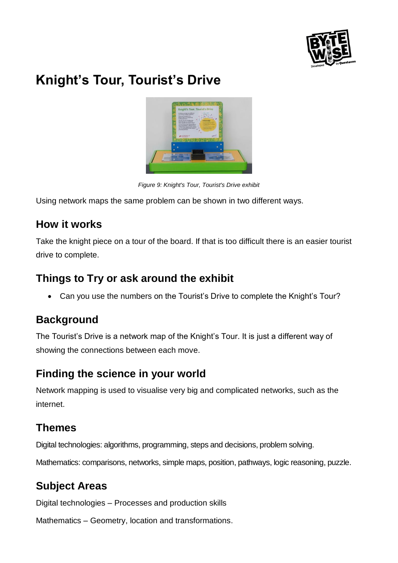

# **Knight's Tour, Tourist's Drive**



*Figure 9: Knight's Tour, Tourist's Drive exhibit*

Using network maps the same problem can be shown in two different ways.

#### **How it works**

Take the knight piece on a tour of the board. If that is too difficult there is an easier tourist drive to complete.

### **Things to Try or ask around the exhibit**

• Can you use the numbers on the Tourist's Drive to complete the Knight's Tour?

### **Background**

The Tourist's Drive is a network map of the Knight's Tour. It is just a different way of showing the connections between each move.

# **Finding the science in your world**

Network mapping is used to visualise very big and complicated networks, such as the internet.

### **Themes**

Digital technologies: algorithms, programming, steps and decisions, problem solving.

Mathematics: comparisons, networks, simple maps, position, pathways, logic reasoning, puzzle.

# **Subject Areas**

Digital technologies – Processes and production skills

Mathematics – Geometry, location and transformations.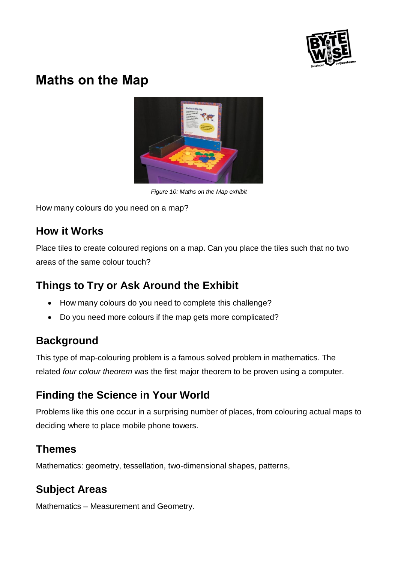

# **Maths on the Map**



*Figure 10: Maths on the Map exhibit*

How many colours do you need on a map?

### **How it Works**

Place tiles to create coloured regions on a map. Can you place the tiles such that no two areas of the same colour touch?

# **Things to Try or Ask Around the Exhibit**

- How many colours do you need to complete this challenge?
- Do you need more colours if the map gets more complicated?

# **Background**

This type of map-colouring problem is a famous solved problem in mathematics. The related *four colour theorem* was the first major theorem to be proven using a computer.

# **Finding the Science in Your World**

Problems like this one occur in a surprising number of places, from colouring actual maps to deciding where to place mobile phone towers.

# **Themes**

Mathematics: geometry, tessellation, two-dimensional shapes, patterns,

# **Subject Areas**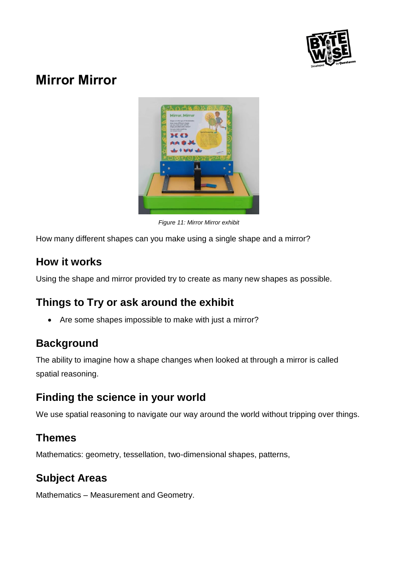

# **Mirror Mirror**



*Figure 11: Mirror Mirror exhibit*

How many different shapes can you make using a single shape and a mirror?

### **How it works**

Using the shape and mirror provided try to create as many new shapes as possible.

# **Things to Try or ask around the exhibit**

• Are some shapes impossible to make with just a mirror?

### **Background**

The ability to imagine how a shape changes when looked at through a mirror is called spatial reasoning.

# **Finding the science in your world**

We use spatial reasoning to navigate our way around the world without tripping over things.

### **Themes**

Mathematics: geometry, tessellation, two-dimensional shapes, patterns,

# **Subject Areas**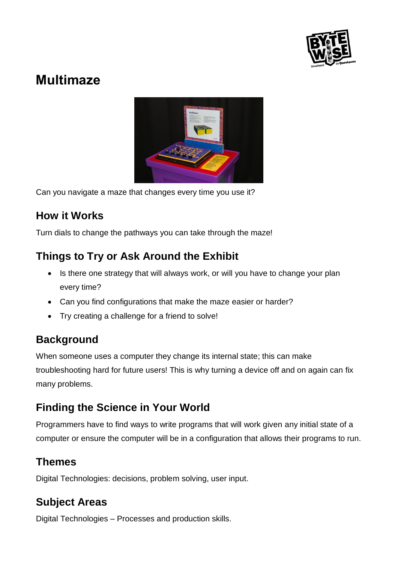

# **Multimaze**



Can you navigate a maze that changes every time you use it?

### **How it Works**

Turn dials to change the pathways you can take through the maze!

# **Things to Try or Ask Around the Exhibit**

- Is there one strategy that will always work, or will you have to change your plan every time?
- Can you find configurations that make the maze easier or harder?
- Try creating a challenge for a friend to solve!

# **Background**

When someone uses a computer they change its internal state; this can make troubleshooting hard for future users! This is why turning a device off and on again can fix many problems.

# **Finding the Science in Your World**

Programmers have to find ways to write programs that will work given any initial state of a computer or ensure the computer will be in a configuration that allows their programs to run.

### **Themes**

Digital Technologies: decisions, problem solving, user input.

# **Subject Areas**

Digital Technologies – Processes and production skills.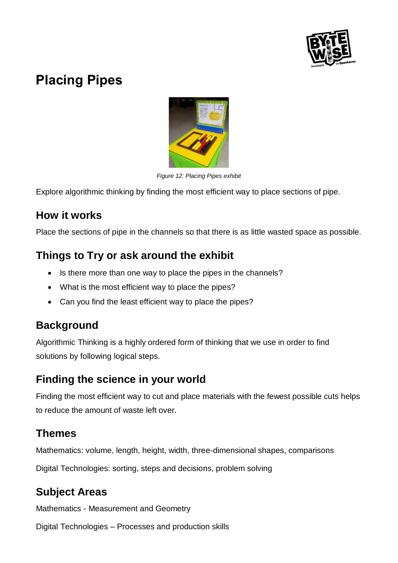

# **Placing Pipes**



*Figure 12: Placing Pipes exhibit*

Explore algorithmic thinking by finding the most efficient way to place sections of pipe.

#### **How it works**

Place the sections of pipe in the channels so that there is as little wasted space as possible.

### **Things to Try or ask around the exhibit**

- Is there more than one way to place the pipes in the channels?
- What is the most efficient way to place the pipes?
- Can you find the least efficient way to place the pipes?

### **Background**

Algorithmic Thinking is a highly ordered form of thinking that we use in order to find solutions by following logical steps.

### **Finding the science in your world**

Finding the most efficient way to cut and place materials with the fewest possible cuts helps to reduce the amount of waste left over.

#### **Themes**

Mathematics: volume, length, height, width, three-dimensional shapes, comparisons

Digital Technologies: sorting, steps and decisions, problem solving

### **Subject Areas**

Mathematics - Measurement and Geometry

Digital Technologies – Processes and production skills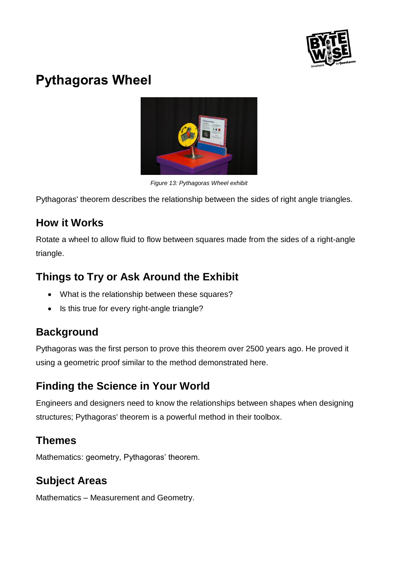

# **Pythagoras Wheel**



*Figure 13: Pythagoras Wheel exhibit*

Pythagoras' theorem describes the relationship between the sides of right angle triangles.

### **How it Works**

Rotate a wheel to allow fluid to flow between squares made from the sides of a right-angle triangle.

# **Things to Try or Ask Around the Exhibit**

- What is the relationship between these squares?
- Is this true for every right-angle triangle?

### **Background**

Pythagoras was the first person to prove this theorem over 2500 years ago. He proved it using a geometric proof similar to the method demonstrated here.

# **Finding the Science in Your World**

Engineers and designers need to know the relationships between shapes when designing structures; Pythagoras' theorem is a powerful method in their toolbox.

### **Themes**

Mathematics: geometry, Pythagoras' theorem.

# **Subject Areas**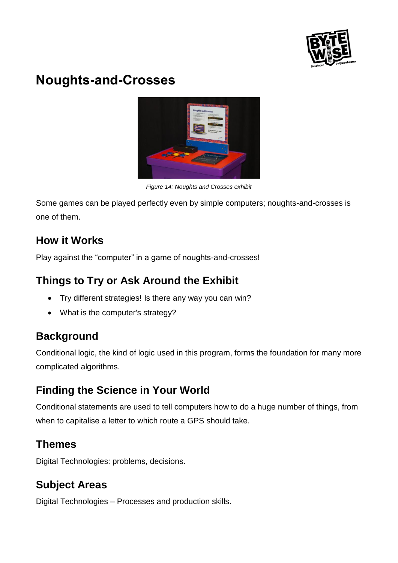

# **Noughts-and-Crosses**



*Figure 14: Noughts and Crosses exhibit*

Some games can be played perfectly even by simple computers; noughts-and-crosses is one of them.

### **How it Works**

Play against the "computer" in a game of noughts-and-crosses!

# **Things to Try or Ask Around the Exhibit**

- Try different strategies! Is there any way you can win?
- What is the computer's strategy?

# **Background**

Conditional logic, the kind of logic used in this program, forms the foundation for many more complicated algorithms.

# **Finding the Science in Your World**

Conditional statements are used to tell computers how to do a huge number of things, from when to capitalise a letter to which route a GPS should take.

# **Themes**

Digital Technologies: problems, decisions.

# **Subject Areas**

Digital Technologies – Processes and production skills.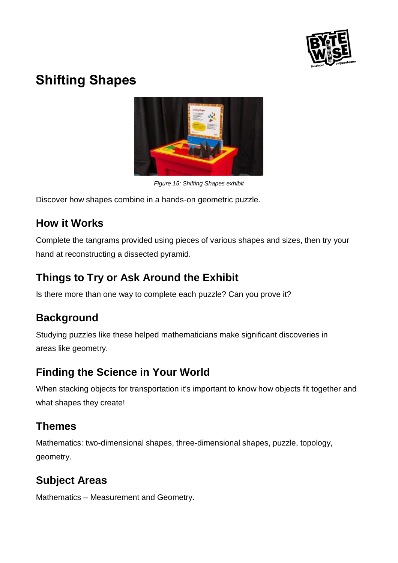

# **Shifting Shapes**



*Figure 15: Shifting Shapes exhibit*

Discover how shapes combine in a hands-on geometric puzzle.

### **How it Works**

Complete the tangrams provided using pieces of various shapes and sizes, then try your hand at reconstructing a dissected pyramid.

# **Things to Try or Ask Around the Exhibit**

Is there more than one way to complete each puzzle? Can you prove it?

# **Background**

Studying puzzles like these helped mathematicians make significant discoveries in areas like geometry.

# **Finding the Science in Your World**

When stacking objects for transportation it's important to know how objects fit together and what shapes they create!

# **Themes**

Mathematics: two-dimensional shapes, three-dimensional shapes, puzzle, topology, geometry.

# **Subject Areas**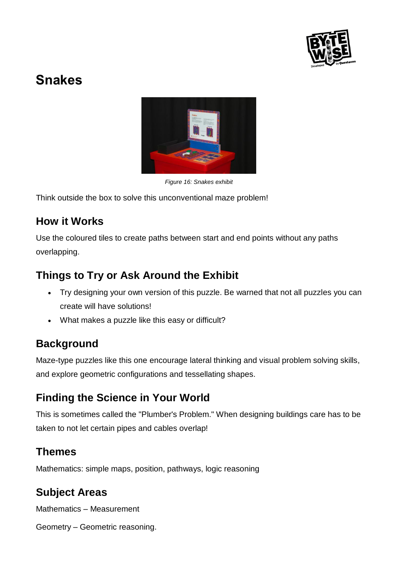

# **Snakes**



*Figure 16: Snakes exhibit*

Think outside the box to solve this unconventional maze problem!

### **How it Works**

Use the coloured tiles to create paths between start and end points without any paths overlapping.

### **Things to Try or Ask Around the Exhibit**

- Try designing your own version of this puzzle. Be warned that not all puzzles you can create will have solutions!
- What makes a puzzle like this easy or difficult?

# **Background**

Maze-type puzzles like this one encourage lateral thinking and visual problem solving skills, and explore geometric configurations and tessellating shapes.

# **Finding the Science in Your World**

This is sometimes called the "Plumber's Problem." When designing buildings care has to be taken to not let certain pipes and cables overlap!

### **Themes**

Mathematics: simple maps, position, pathways, logic reasoning

# **Subject Areas**

Mathematics – Measurement

Geometry – Geometric reasoning.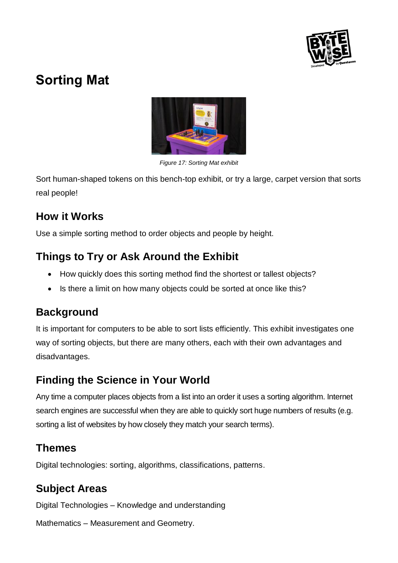

# **Sorting Mat**



*Figure 17: Sorting Mat exhibit*

Sort human-shaped tokens on this bench-top exhibit, or try a large, carpet version that sorts real people!

### **How it Works**

Use a simple sorting method to order objects and people by height.

# **Things to Try or Ask Around the Exhibit**

- How quickly does this sorting method find the shortest or tallest objects?
- Is there a limit on how many objects could be sorted at once like this?

### **Background**

It is important for computers to be able to sort lists efficiently. This exhibit investigates one way of sorting objects, but there are many others, each with their own advantages and disadvantages.

# **Finding the Science in Your World**

Any time a computer places objects from a list into an order it uses a sorting algorithm. Internet search engines are successful when they are able to quickly sort huge numbers of results (e.g. sorting a list of websites by how closely they match your search terms).

### **Themes**

Digital technologies: sorting, algorithms, classifications, patterns.

# **Subject Areas**

Digital Technologies – Knowledge and understanding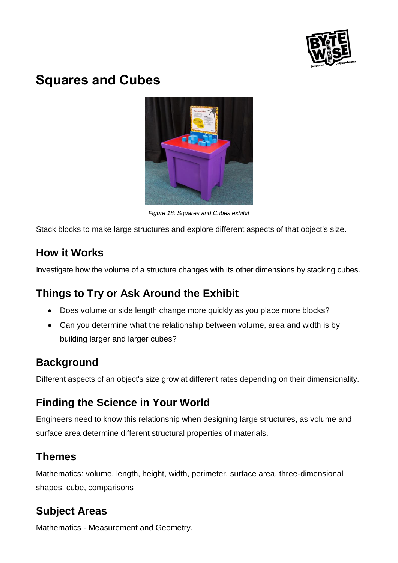

# **Squares and Cubes**



*Figure 18: Squares and Cubes exhibit*

Stack blocks to make large structures and explore different aspects of that object's size.

### **How it Works**

Investigate how the volume of a structure changes with its other dimensions by stacking cubes.

# **Things to Try or Ask Around the Exhibit**

- Does volume or side length change more quickly as you place more blocks?
- Can you determine what the relationship between volume, area and width is by building larger and larger cubes?

# **Background**

Different aspects of an object's size grow at different rates depending on their dimensionality.

# **Finding the Science in Your World**

Engineers need to know this relationship when designing large structures, as volume and surface area determine different structural properties of materials.

### **Themes**

Mathematics: volume, length, height, width, perimeter, surface area, three-dimensional shapes, cube, comparisons

# **Subject Areas**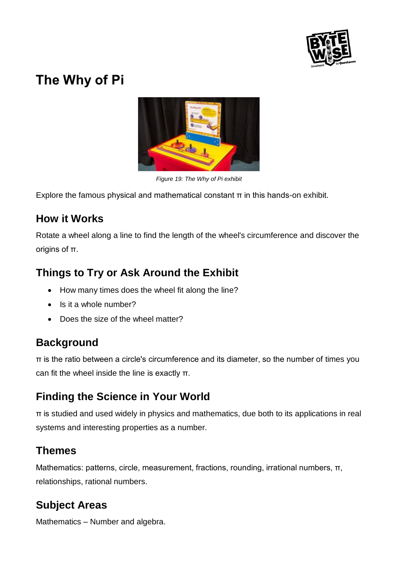

# **The Why of Pi**



*Figure 19: The Why of Pi exhibit*

Explore the famous physical and mathematical constant  $\pi$  in this hands-on exhibit.

### **How it Works**

Rotate a wheel along a line to find the length of the wheel's circumference and discover the origins of π.

# **Things to Try or Ask Around the Exhibit**

- How many times does the wheel fit along the line?
- Is it a whole number?
- Does the size of the wheel matter?

# **Background**

π is the ratio between a circle's circumference and its diameter, so the number of times you can fit the wheel inside the line is exactly π.

# **Finding the Science in Your World**

π is studied and used widely in physics and mathematics, due both to its applications in real systems and interesting properties as a number.

### **Themes**

Mathematics: patterns, circle, measurement, fractions, rounding, irrational numbers,  $\pi$ , relationships, rational numbers.

# **Subject Areas**

Mathematics – Number and algebra.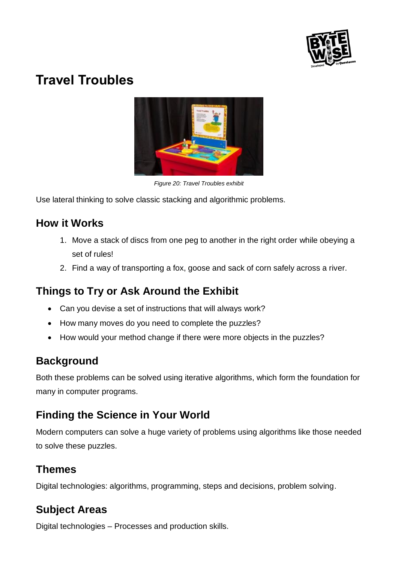

# **Travel Troubles**



*Figure 20: Travel Troubles exhibit*

Use lateral thinking to solve classic stacking and algorithmic problems.

### **How it Works**

- 1. Move a stack of discs from one peg to another in the right order while obeying a set of rules!
- 2. Find a way of transporting a fox, goose and sack of corn safely across a river.

# **Things to Try or Ask Around the Exhibit**

- Can you devise a set of instructions that will always work?
- How many moves do you need to complete the puzzles?
- How would your method change if there were more objects in the puzzles?

# **Background**

Both these problems can be solved using iterative algorithms, which form the foundation for many in computer programs.

# **Finding the Science in Your World**

Modern computers can solve a huge variety of problems using algorithms like those needed to solve these puzzles.

### **Themes**

Digital technologies: algorithms, programming, steps and decisions, problem solving.

# **Subject Areas**

Digital technologies – Processes and production skills.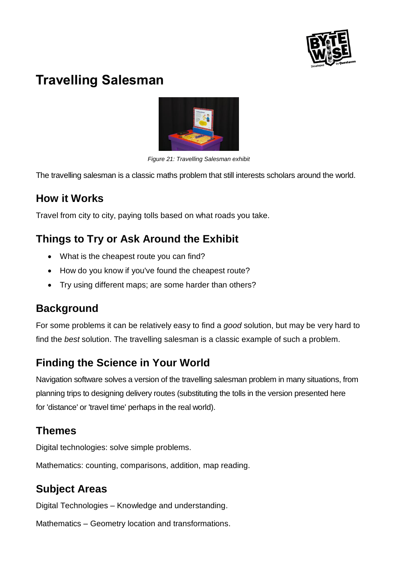

# **Travelling Salesman**



*Figure 21: Travelling Salesman exhibit*

The travelling salesman is a classic maths problem that still interests scholars around the world.

### **How it Works**

Travel from city to city, paying tolls based on what roads you take.

### **Things to Try or Ask Around the Exhibit**

- What is the cheapest route you can find?
- How do you know if you've found the cheapest route?
- Try using different maps; are some harder than others?

#### **Background**

For some problems it can be relatively easy to find a *good* solution, but may be very hard to find the *best* solution. The travelling salesman is a classic example of such a problem.

# **Finding the Science in Your World**

Navigation software solves a version of the travelling salesman problem in many situations, from planning trips to designing delivery routes (substituting the tolls in the version presented here for 'distance' or 'travel time' perhaps in the real world).

#### **Themes**

Digital technologies: solve simple problems.

Mathematics: counting, comparisons, addition, map reading.

# **Subject Areas**

Digital Technologies – Knowledge and understanding.

Mathematics – Geometry location and transformations.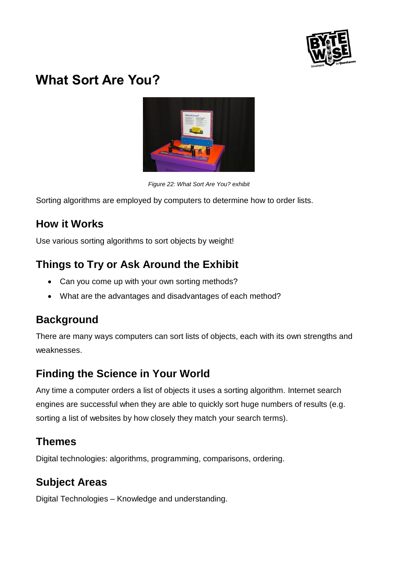

# **What Sort Are You?**



*Figure 22: What Sort Are You? exhibit*

Sorting algorithms are employed by computers to determine how to order lists.

### **How it Works**

Use various sorting algorithms to sort objects by weight!

# **Things to Try or Ask Around the Exhibit**

- Can you come up with your own sorting methods?
- What are the advantages and disadvantages of each method?

### **Background**

There are many ways computers can sort lists of objects, each with its own strengths and weaknesses.

# **Finding the Science in Your World**

Any time a computer orders a list of objects it uses a sorting algorithm. Internet search engines are successful when they are able to quickly sort huge numbers of results (e.g. sorting a list of websites by how closely they match your search terms).

### **Themes**

Digital technologies: algorithms, programming, comparisons, ordering.

# **Subject Areas**

Digital Technologies – Knowledge and understanding.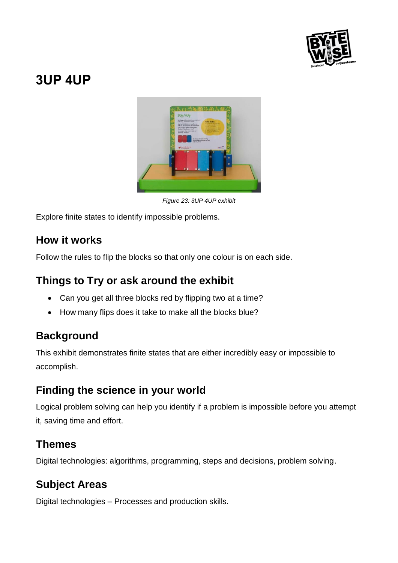

# **3UP 4UP**



*Figure 23: 3UP 4UP exhibit*

Explore finite states to identify impossible problems.

#### **How it works**

Follow the rules to flip the blocks so that only one colour is on each side.

### **Things to Try or ask around the exhibit**

- Can you get all three blocks red by flipping two at a time?
- How many flips does it take to make all the blocks blue?

### **Background**

This exhibit demonstrates finite states that are either incredibly easy or impossible to accomplish.

### **Finding the science in your world**

Logical problem solving can help you identify if a problem is impossible before you attempt it, saving time and effort.

### **Themes**

Digital technologies: algorithms, programming, steps and decisions, problem solving.

# **Subject Areas**

Digital technologies – Processes and production skills.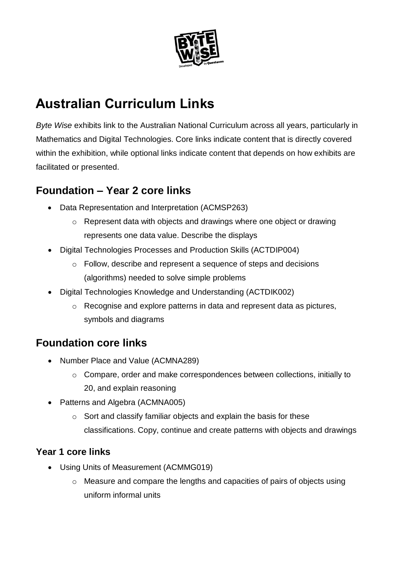

# **Australian Curriculum Links**

*Byte Wise* exhibits link to the Australian National Curriculum across all years, particularly in Mathematics and Digital Technologies. Core links indicate content that is directly covered within the exhibition, while optional links indicate content that depends on how exhibits are facilitated or presented.

# **Foundation – Year 2 core links**

- Data Representation and Interpretation (ACMSP263)
	- o Represent data with objects and drawings where one object or drawing represents one data value. Describe the displays
- Digital Technologies Processes and Production Skills (ACTDIP004)
	- o Follow, describe and represent a sequence of steps and decisions (algorithms) needed to solve simple problems
- Digital Technologies Knowledge and Understanding (ACTDIK002)
	- o Recognise and explore patterns in data and represent data as pictures, symbols and diagrams

### **Foundation core links**

- Number Place and Value (ACMNA289)
	- o Compare, order and make correspondences between collections, initially to 20, and explain reasoning
- Patterns and Algebra (ACMNA005)
	- o Sort and classify familiar objects and explain the basis for these classifications. Copy, continue and create patterns with objects and drawings

#### **Year 1 core links**

- Using Units of Measurement (ACMMG019)
	- o Measure and compare the lengths and capacities of pairs of objects using uniform informal units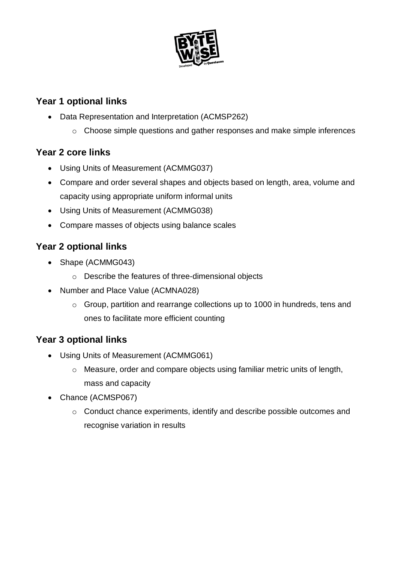

#### **Year 1 optional links**

- Data Representation and Interpretation (ACMSP262)
	- o Choose simple questions and gather responses and make simple inferences

#### **Year 2 core links**

- Using Units of Measurement (ACMMG037)
- Compare and order several shapes and objects based on length, area, volume and capacity using appropriate uniform informal units
- Using Units of Measurement (ACMMG038)
- Compare masses of objects using balance scales

#### **Year 2 optional links**

- Shape (ACMMG043)
	- o Describe the features of three-dimensional objects
- Number and Place Value (ACMNA028)
	- o Group, partition and rearrange collections up to 1000 in hundreds, tens and ones to facilitate more efficient counting

#### **Year 3 optional links**

- Using Units of Measurement (ACMMG061)
	- o Measure, order and compare objects using familiar metric units of length, mass and capacity
- Chance (ACMSP067)
	- o Conduct chance experiments, identify and describe possible outcomes and recognise variation in results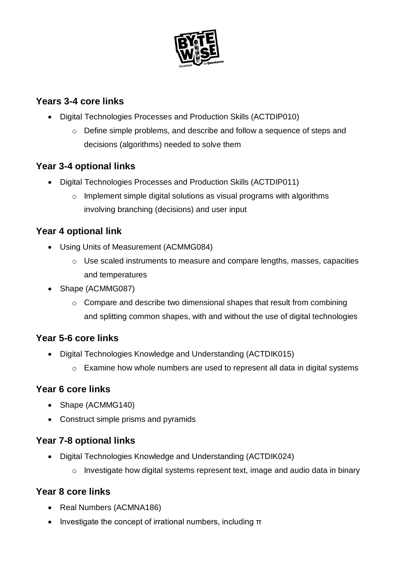

#### **Years 3-4 core links**

- Digital Technologies Processes and Production Skills (ACTDIP010)
	- o Define simple problems, and describe and follow a sequence of steps and decisions (algorithms) needed to solve them

#### **Year 3-4 optional links**

- Digital Technologies Processes and Production Skills (ACTDIP011)
	- o Implement simple digital solutions as visual programs with algorithms involving branching (decisions) and user input

#### **Year 4 optional link**

- Using Units of Measurement (ACMMG084)
	- o Use scaled instruments to measure and compare lengths, masses, capacities and temperatures
- Shape (ACMMG087)
	- o Compare and describe two dimensional shapes that result from combining and splitting common shapes, with and without the use of digital technologies

#### **Year 5-6 core links**

- Digital Technologies Knowledge and Understanding (ACTDIK015)
	- o Examine how whole numbers are used to represent all data in digital systems

#### **Year 6 core links**

- Shape (ACMMG140)
- Construct simple prisms and pyramids

#### **Year 7-8 optional links**

- Digital Technologies Knowledge and Understanding (ACTDIK024)
	- o Investigate how digital systems represent text, image and audio data in binary

#### **Year 8 core links**

- Real Numbers (ACMNA186)
- Investigate the concept of irrational numbers, including  $\pi$